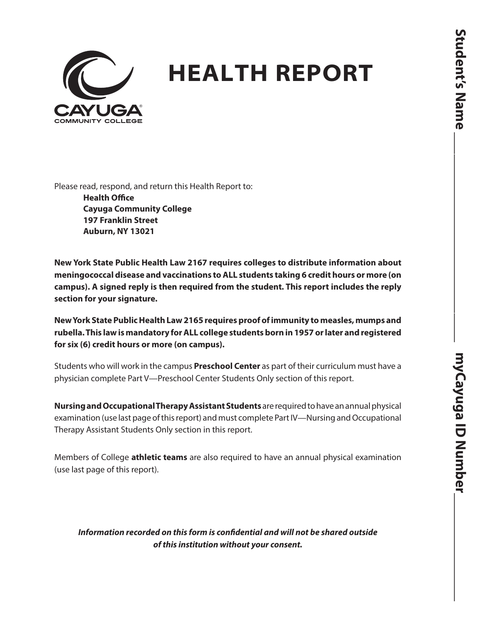

## **HEALTH REPORT**

Please read, respond, and return this Health Report to:

**Health Office Cayuga Community College 197 Franklin Street Auburn, NY 13021**

**New York State Public Health Law 2167 requires colleges to distribute information about meningococcal disease and vaccinations to ALL students taking 6 credit hours or more (on campus). A signed reply is then required from the student. This report includes the reply section for your signature.**

**New York State Public Health Law 2165 requires proof of immunity to measles, mumps and rubella. This law is mandatory for ALL college students born in 1957 or later and registered for six (6) credit hours or more (on campus).**

Students who will work in the campus **Preschool Center** as part of their curriculum must have a physician complete Part V—Preschool Center Students Only section of this report.

**Nursing and Occupational Therapy Assistant Students** are required to have an annual physical examination (use last page of this report) and must complete Part IV—Nursing and Occupational Therapy Assistant Students Only section in this report.

Members of College **athletic teams** are also required to have an annual physical examination (use last page of this report).

*Information recorded on this form is confidential and will not be shared outside of this institution without your consent.*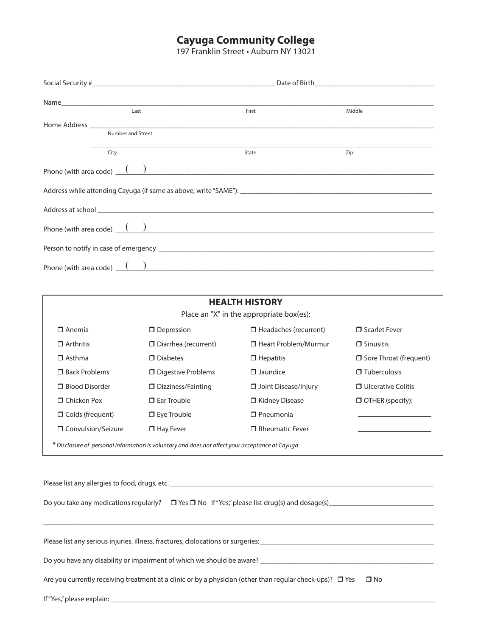## **Cayuga Community College**

197 Franklin Street • Auburn NY 13021

| Last                           | First                                    | Middle |  |
|--------------------------------|------------------------------------------|--------|--|
|                                |                                          |        |  |
| Number and Street              |                                          |        |  |
| City                           | State                                    | Zip    |  |
| Phone (with area code) $($ $)$ |                                          |        |  |
|                                |                                          |        |  |
|                                |                                          |        |  |
| Phone (with area code) $($ $)$ |                                          |        |  |
|                                |                                          |        |  |
| Phone (with area code) $($ $)$ |                                          |        |  |
|                                |                                          |        |  |
|                                | <b>HEALTH HISTORY</b>                    |        |  |
|                                | Place an "X" in the appropriate box(es): |        |  |

| $\Box$ Anemia           | $\Box$ Depression                                                                               | $\Box$ Headaches (recurrent) | □ Scarlet Fever               |
|-------------------------|-------------------------------------------------------------------------------------------------|------------------------------|-------------------------------|
| $\Box$ Arthritis        | $\Box$ Diarrhea (recurrent)                                                                     | □ Heart Problem/Murmur       | $\Box$ Sinusitis              |
| $\Box$ Asthma           | $\Box$ Diabetes                                                                                 | $\Box$ Hepatitis             | $\Box$ Sore Throat (frequent) |
| <b>E</b> Back Problems  | □ Digestive Problems                                                                            | $\Box$ Jaundice              | $\Box$ Tuberculosis           |
| <b>Rood Disorder</b>    | □ Dizziness/Fainting                                                                            | Joint Disease/Injury         | $\Box$ Ulcerative Colitis     |
| □ Chicken Pox           | $\Box$ Far Trouble                                                                              | □ Kidney Disease             | $\Box$ OTHER (specify):       |
| $\Box$ Colds (frequent) | $\Box$ Eye Trouble                                                                              | $\Box$ Pneumonia             |                               |
| □ Convulsion/Seizure    | $\Box$ Hay Fever                                                                                | $\Box$ Rheumatic Fever       |                               |
|                         | * Disclosure of personal information is voluntary and does not affect your acceptance at Cayuga |                              |                               |

 $\_$  ,  $\_$  ,  $\_$  ,  $\_$  ,  $\_$  ,  $\_$  ,  $\_$  ,  $\_$  ,  $\_$  ,  $\_$  ,  $\_$  ,  $\_$  ,  $\_$  ,  $\_$  ,  $\_$  ,  $\_$  ,  $\_$  ,  $\_$  ,  $\_$  ,  $\_$  ,  $\_$  ,  $\_$  ,  $\_$  ,  $\_$  ,  $\_$  ,  $\_$  ,  $\_$  ,  $\_$  ,  $\_$  ,  $\_$  ,  $\_$  ,  $\_$  ,  $\_$  ,  $\_$  ,  $\_$  ,  $\_$  ,  $\_$  ,

Please list any allergies to food, drugs, etc. \_\_\_\_\_\_\_\_\_\_\_\_\_\_\_\_\_\_\_\_\_\_\_\_\_\_\_\_\_\_\_\_\_\_\_\_\_\_\_\_\_\_\_\_\_\_\_\_\_\_\_\_\_\_\_\_\_\_\_\_\_\_\_\_\_\_\_\_\_\_\_\_\_

Do you take any medications regularly? Yes No If "Yes," please list drug(s) and dosage(s)\_\_\_\_\_\_\_\_\_\_\_\_\_\_\_\_\_\_\_\_\_\_\_\_\_\_\_\_\_

Please list any serious injuries, illness, fractures, dislocations or surgeries:\_\_\_\_\_\_\_\_\_\_\_\_\_\_\_\_\_\_\_\_\_\_\_\_\_\_\_\_\_\_\_\_\_\_\_\_\_\_\_\_\_\_\_\_\_\_\_\_

Do you have any disability or impairment of which we should be aware? \_\_\_\_\_\_\_\_\_\_\_\_\_\_\_\_\_\_\_\_\_\_\_\_\_\_\_\_\_\_\_\_\_\_\_\_\_\_\_\_\_\_\_\_\_\_\_\_

Are you currently receiving treatment at a clinic or by a physician (other than regular check-ups)?  $\Box$  Yes  $\Box$  No

If "Yes," please explain: \_\_\_\_\_\_\_\_\_\_\_\_\_\_\_\_\_\_\_\_\_\_\_\_\_\_\_\_\_\_\_\_\_\_\_\_\_\_\_\_\_\_\_\_\_\_\_\_\_\_\_\_\_\_\_\_\_\_\_\_\_\_\_\_\_\_\_\_\_\_\_\_\_\_\_\_\_\_\_\_\_\_\_\_\_\_\_\_\_\_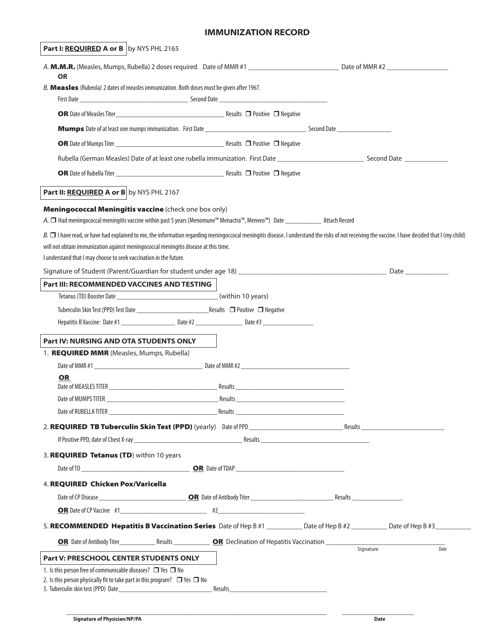## **IMMUNIZATION RECORD**

| <b>Part I: REQUIRED A or B</b> by NYS PHL 2165                                                                                                                                                                                                                                                                                                                    |         |                                                                                                                 |      |
|-------------------------------------------------------------------------------------------------------------------------------------------------------------------------------------------------------------------------------------------------------------------------------------------------------------------------------------------------------------------|---------|-----------------------------------------------------------------------------------------------------------------|------|
| <b>OR</b>                                                                                                                                                                                                                                                                                                                                                         |         |                                                                                                                 |      |
| B. Measles (Rubeola) 2 dates of measles immunization. Both doses must be given after 1967.                                                                                                                                                                                                                                                                        |         |                                                                                                                 |      |
|                                                                                                                                                                                                                                                                                                                                                                   |         |                                                                                                                 |      |
|                                                                                                                                                                                                                                                                                                                                                                   |         |                                                                                                                 |      |
| <b>Mumps</b> Date of at least one mumps immunization. First Date <b>All and Second Date All and Second Date</b>                                                                                                                                                                                                                                                   |         |                                                                                                                 |      |
|                                                                                                                                                                                                                                                                                                                                                                   |         |                                                                                                                 |      |
|                                                                                                                                                                                                                                                                                                                                                                   |         | Rubella (German Measles) Date of at least one rubella immunization. First Date entirely accorded to Second Date |      |
|                                                                                                                                                                                                                                                                                                                                                                   |         |                                                                                                                 |      |
| Part II: REQUIRED A or B by NYS PHL 2167                                                                                                                                                                                                                                                                                                                          |         |                                                                                                                 |      |
| Meningococcal Meningitis vaccine (check one box only)<br>A. □ Had meningococcal meningitis vaccine within past 5 years (Menomune™ Menactra™, Menveo™) Date _______________ Attach Record                                                                                                                                                                          |         |                                                                                                                 |      |
| B. $\Box$ I have read, or have had explained to me, the information regarding meningoccocal meningitis disease. I understand the risks of not receiving the vaccine. I have decided that I (my child)<br>will not obtain immunization against meningococcal meningitis disease at this time.<br>I understand that I may choose to seek vaccination in the future. |         |                                                                                                                 |      |
|                                                                                                                                                                                                                                                                                                                                                                   |         |                                                                                                                 |      |
| Part III: RECOMMENDED VACCINES AND TESTING                                                                                                                                                                                                                                                                                                                        |         |                                                                                                                 |      |
|                                                                                                                                                                                                                                                                                                                                                                   |         |                                                                                                                 |      |
|                                                                                                                                                                                                                                                                                                                                                                   |         |                                                                                                                 |      |
|                                                                                                                                                                                                                                                                                                                                                                   |         |                                                                                                                 |      |
| <b>Part IV: NURSING AND OTA STUDENTS ONLY</b>                                                                                                                                                                                                                                                                                                                     |         |                                                                                                                 |      |
| 1. REQUIRED MMR (Measles, Mumps, Rubella)                                                                                                                                                                                                                                                                                                                         |         |                                                                                                                 |      |
| Date of MMR #1                                                                                                                                                                                                                                                                                                                                                    |         |                                                                                                                 |      |
| <b>OR</b>                                                                                                                                                                                                                                                                                                                                                         |         |                                                                                                                 |      |
|                                                                                                                                                                                                                                                                                                                                                                   |         |                                                                                                                 |      |
|                                                                                                                                                                                                                                                                                                                                                                   |         |                                                                                                                 |      |
|                                                                                                                                                                                                                                                                                                                                                                   |         |                                                                                                                 |      |
|                                                                                                                                                                                                                                                                                                                                                                   |         |                                                                                                                 |      |
| 3. REQUIRED Tetanus (TD) within 10 years                                                                                                                                                                                                                                                                                                                          |         |                                                                                                                 |      |
|                                                                                                                                                                                                                                                                                                                                                                   |         |                                                                                                                 |      |
| 4. REQUIRED Chicken Pox/Varicella                                                                                                                                                                                                                                                                                                                                 |         |                                                                                                                 |      |
|                                                                                                                                                                                                                                                                                                                                                                   |         |                                                                                                                 |      |
| OR Date of CP Vaccine #1                                                                                                                                                                                                                                                                                                                                          |         |                                                                                                                 |      |
| 5. RECOMMENDED Hepatitis B Vaccination Series Date of Hep B #1 __________ Date of Hep B #2 _________ Date of Hep B #3                                                                                                                                                                                                                                             |         |                                                                                                                 |      |
|                                                                                                                                                                                                                                                                                                                                                                   |         |                                                                                                                 | Date |
| Part V: PRESCHOOL CENTER STUDENTS ONLY                                                                                                                                                                                                                                                                                                                            |         |                                                                                                                 |      |
| 1. Is this person free of communicable diseases? $\Box$ Yes $\Box$ No<br>2. Is this person physically fit to take part in this program? $\Box$ Yes $\Box$ No                                                                                                                                                                                                      |         |                                                                                                                 |      |
|                                                                                                                                                                                                                                                                                                                                                                   | Results |                                                                                                                 |      |